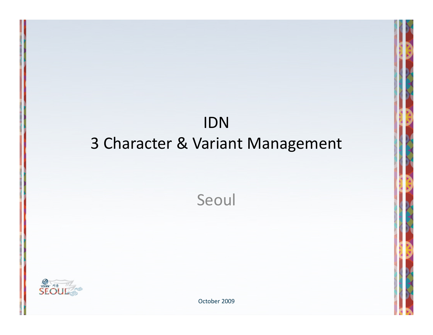# IDN 3 Character & Variant Management

Seoul



October 2009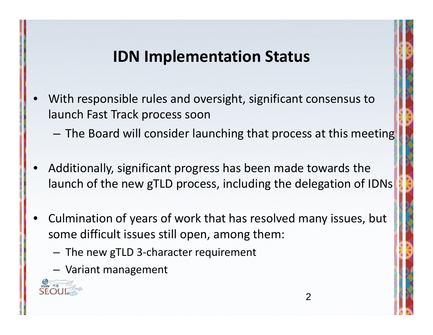# **IDN Implementation Status**

- • With responsible rules and oversight, significant consensus to launch Fast Track process soon
	- –The Board will consider launching that process at this meeting
- • Additionally, significant progress has been made towards the launch of the new gTLD process, including the delegation of IDNs
- • Culmination of years of work that has resolved many issues, but some difficult issues still open, among them:
	- The new gTLD 3‐character requirement
	- Variant management

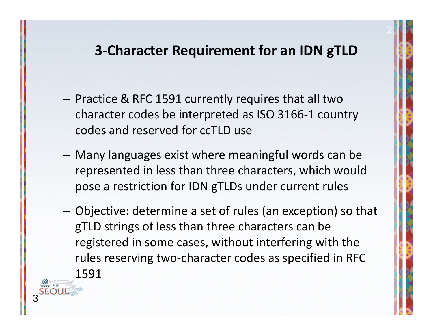#### **3‐Character Requirement for an IDN gTLD**

2

- Practice & RFC 1591 currently requires that all two character codes be interpreted as ISO 3166‐1 country codes and reserved for ccTLD use
- – Many languages exist where meaningful words can be represented in less than three characters, which would pose <sup>a</sup> restriction for IDN gTLDs under current rules
- Objective: determine <sup>a</sup> set of rules (an exception) so that gTLD strings of less than three characters can be registered in some cases, without interfering with the rules reserving two‐character codes as specified in RFC 1591

3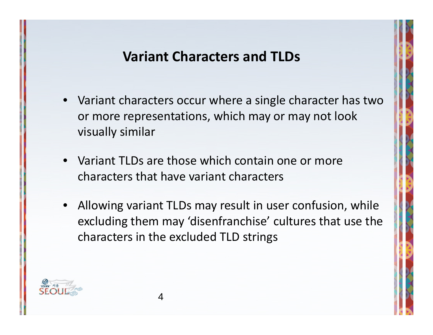#### **Variant Characters and TLDs**

- Variant characters occur where <sup>a</sup> single character has two or more representations, which may or may not look visually similar
- Variant TLDs are those which contain one or more characters that have variant characters
- Allowing variant TLDs may result in user confusion, while excluding them may 'disenfranchise' cultures that use the characters in the excluded TLD strings

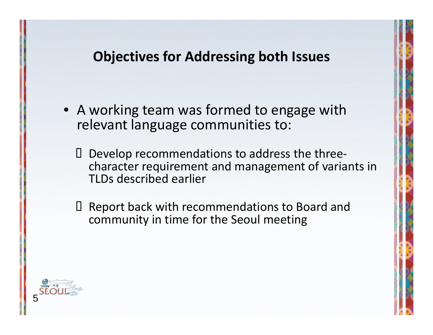#### **Objectives for Addressing both Issues**

- A working team was formed to engage with relevant language communities to:
	- Develop recommendations to address the three‐ character requirement and management of variants in TLDs described earlier
	- Ш Report back with recommendations to Board and community in time for the Seoul meeting

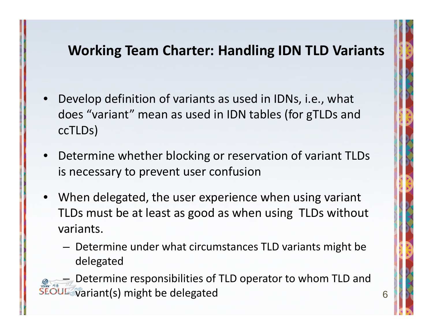### **Working Team Charter: Handling IDN TLD Variants**

- • Develop definition of variants as used in IDNs, i.e., what does "variant" mean as used in IDN tables (for gTLDs and ccTLDs)
- • Determine whether blocking or reservation of variant TLDs is necessary to prevent user confusion
- • When delegated, the user experience when using variant TLDs must be at least as good as when using TLDs without variants.
	- Determine under what circumstances TLD variants might be delegated

– Determine responsibilities of TLD operator to whom TLD and variant(s) might be delegated <sup>6</sup>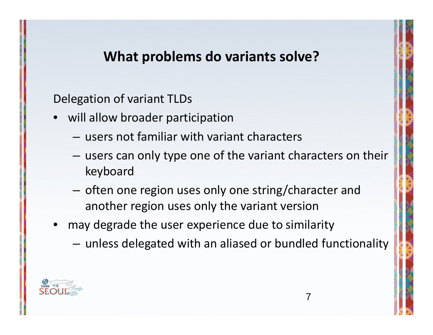#### **What problems do variants solve?**

Delegation of variant TLDs

- will allow broader participation
	- users not familiar with variant characters
	- $-$  users can only type one of the variant characters on their keyboard
	- – $-$  often one region uses only one string/character and another region uses only the variant version
- may degrade the user experience due to similarity
	- –unless delegated with an aliased or bundled functionality

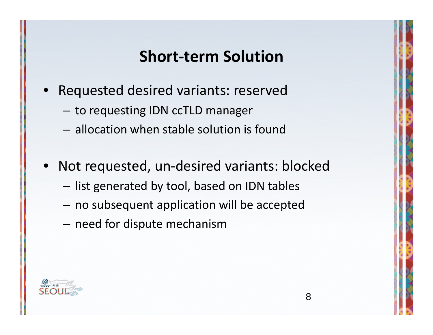### **Short‐term Solution**

- • Requested desired variants: reserved
	- – $-$  to requesting IDN ccTLD manager
	- allocation when stable solution is found
- • Not requested, un‐desired variants: blocked
	- $-$  list generated by tool, based on IDN tables
	- $-$  no subsequent application will be accepted
	- $-$  need for dispute mechanism